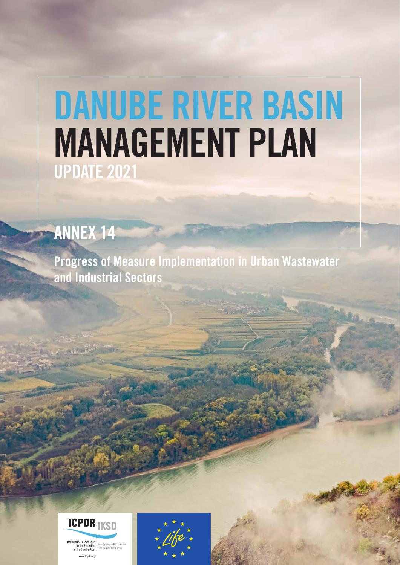# DANUBE RIVER BASIN MANAGEMENT PLAN UPDATE 2021

## ANNEX 14

Progress of Measure Implementation in Urban Wastewater and Industrial Sectors



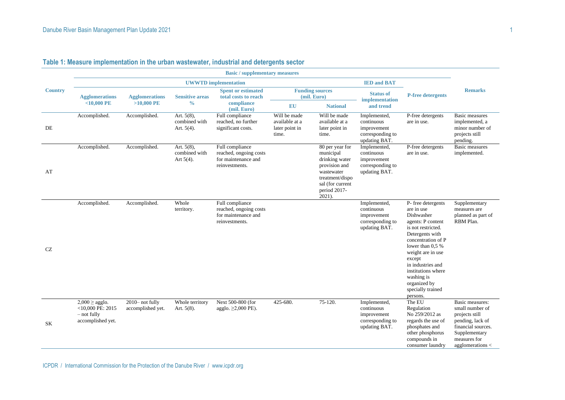|                | <b>Basic / supplementary measures</b>                                            |                                       |                                                 |                                                                                    |                                                           |                                                                                                                                                   |                                                                                |                                                                                                                                                                                                                                                                                                   |                                                                                                                                                     |  |  |
|----------------|----------------------------------------------------------------------------------|---------------------------------------|-------------------------------------------------|------------------------------------------------------------------------------------|-----------------------------------------------------------|---------------------------------------------------------------------------------------------------------------------------------------------------|--------------------------------------------------------------------------------|---------------------------------------------------------------------------------------------------------------------------------------------------------------------------------------------------------------------------------------------------------------------------------------------------|-----------------------------------------------------------------------------------------------------------------------------------------------------|--|--|
|                |                                                                                  |                                       |                                                 | <b>UWWTD</b> implementation                                                        |                                                           |                                                                                                                                                   | <b>IED and BAT</b>                                                             |                                                                                                                                                                                                                                                                                                   |                                                                                                                                                     |  |  |
| <b>Country</b> | <b>Agglomerations</b><br>$<$ 10,000 PE                                           | <b>Agglomerations</b><br>$>10,000$ PE | <b>Sensitive areas</b><br>$\frac{0}{0}$         | <b>Spent or estimated</b><br>total costs to reach<br>compliance<br>(mil. Euro)     | <b>EU</b>                                                 | <b>Funding sources</b><br>(mil. Euro)<br><b>National</b>                                                                                          | <b>Status of</b><br>implementation<br>and trend                                | <b>P-free detergents</b>                                                                                                                                                                                                                                                                          | <b>Remarks</b>                                                                                                                                      |  |  |
| DE             | Accomplished.                                                                    | Accomplished.                         | Art. $5(8)$ ,<br>combined with<br>Art. $5(4)$ . | Full compliance<br>reached, no further<br>significant costs.                       | Will be made<br>available at a<br>later point in<br>time. | Will be made<br>available at a<br>later point in<br>time.                                                                                         | Implemented,<br>continuous<br>improvement<br>corresponding to<br>updating BAT. | P-free detergents<br>are in use.                                                                                                                                                                                                                                                                  | <b>Basic measures</b><br>implemented, a<br>minor number of<br>projects still<br>pending.                                                            |  |  |
| AT             | Accomplished.                                                                    | Accomplished.                         | Art. 5(8),<br>combined with<br>Art $5(4)$ .     | Full compliance<br>reached, ongoing costs<br>for maintenance and<br>reinvestments. |                                                           | 80 per year for<br>municipal<br>drinking water<br>provision and<br>wastewater<br>treatment/dispo<br>sal (for current<br>period 2017-<br>$2021$ ). | Implemented,<br>continuous<br>improvement<br>corresponding to<br>updating BAT. | P-free detergents<br>are in use.                                                                                                                                                                                                                                                                  | <b>Basic</b> measures<br>implemented.                                                                                                               |  |  |
| CZ             | Accomplished.                                                                    | Accomplished.                         | Whole<br>territory.                             | Full compliance<br>reached, ongoing costs<br>for maintenance and<br>reinvestments. |                                                           |                                                                                                                                                   | Implemented,<br>continuous<br>improvement<br>corresponding to<br>updating BAT. | P- free detergents<br>are in use<br>Dishwasher<br>agents: P content<br>is not restricted.<br>Detergents with<br>concentration of P<br>lower than $0.5\%$<br>weight are in use<br>except<br>in industries and<br>institutions where<br>washing is<br>organized by<br>specially trained<br>persons. | Supplementary<br>measures are<br>planned as part of<br>RBM Plan.                                                                                    |  |  |
| SK             | $2,000 \geq$ agglo.<br>$<$ 10,000 PE: 2015<br>$-$ not fully<br>accomplished yet. | 2010-not fully<br>accomplished yet.   | Whole territory<br>Art. $5(8)$ .                | Next 500-800 (for<br>agglo. $\geq$ 2,000 PE).                                      | 425-680.                                                  | 75-120.                                                                                                                                           | Implemented,<br>continuous<br>improvement<br>corresponding to<br>updating BAT. | The EU<br>Regulation<br>No 259/2012 as<br>regards the use of<br>phosphates and<br>other phosphorus<br>compounds in<br>consumer laundry                                                                                                                                                            | Basic measures:<br>small number of<br>projects still<br>pending, lack of<br>financial sources.<br>Supplementary<br>measures for<br>agglomerations < |  |  |

### **Table 1: Measure implementation in the urban wastewater, industrial and detergents sector**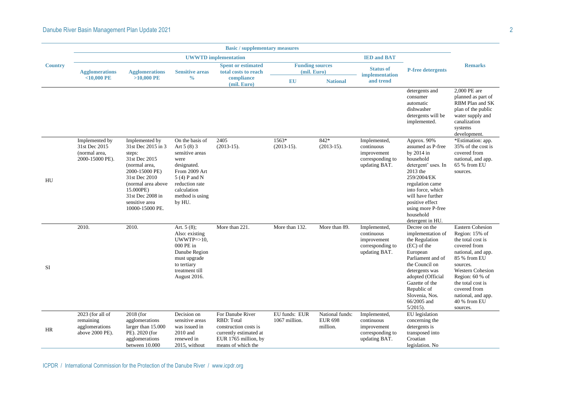|                | <b>Basic</b> / supplementary measures                               |                                                                                                                                                                                                                 |                                                                                                                                                                          |                                                                                                                                 |                                       |                                               |                                                                                |                                                                                                                                                                                                                                                     |                                                                                                                                                                                                                                                                       |  |  |
|----------------|---------------------------------------------------------------------|-----------------------------------------------------------------------------------------------------------------------------------------------------------------------------------------------------------------|--------------------------------------------------------------------------------------------------------------------------------------------------------------------------|---------------------------------------------------------------------------------------------------------------------------------|---------------------------------------|-----------------------------------------------|--------------------------------------------------------------------------------|-----------------------------------------------------------------------------------------------------------------------------------------------------------------------------------------------------------------------------------------------------|-----------------------------------------------------------------------------------------------------------------------------------------------------------------------------------------------------------------------------------------------------------------------|--|--|
|                |                                                                     |                                                                                                                                                                                                                 |                                                                                                                                                                          | <b>UWWTD</b> implementation                                                                                                     |                                       |                                               | <b>IED and BAT</b>                                                             |                                                                                                                                                                                                                                                     |                                                                                                                                                                                                                                                                       |  |  |
| <b>Country</b> | <b>Agglomerations</b>                                               | <b>Agglomerations</b>                                                                                                                                                                                           | <b>Sensitive areas</b>                                                                                                                                                   | <b>Spent or estimated</b><br>total costs to reach                                                                               | <b>Funding sources</b><br>(mil. Euro) |                                               | <b>Status of</b><br>implementation                                             | <b>P-free detergents</b>                                                                                                                                                                                                                            | <b>Remarks</b>                                                                                                                                                                                                                                                        |  |  |
|                | $<$ 10,000 PE                                                       | $>10,000$ PE                                                                                                                                                                                                    | $\frac{0}{0}$                                                                                                                                                            | compliance<br>(mil. Euro)                                                                                                       | <b>EU</b>                             | <b>National</b>                               | and trend                                                                      |                                                                                                                                                                                                                                                     |                                                                                                                                                                                                                                                                       |  |  |
|                |                                                                     |                                                                                                                                                                                                                 |                                                                                                                                                                          |                                                                                                                                 |                                       |                                               |                                                                                | detergents and<br>consumer<br>automatic<br>dishwasher<br>detergents will be<br>implemented.                                                                                                                                                         | 2,000 PE are<br>planned as part of<br>RBM Plan and SK<br>plan of the public<br>water supply and<br>canalization<br>systems<br>development.                                                                                                                            |  |  |
| HU             | Implemented by<br>31st Dec 2015<br>(normal area,<br>2000-15000 PE). | Implemented by<br>31st Dec 2015 in 3<br>steps:<br>31st Dec 2015<br>(normal area,<br>2000-15000 PE)<br>31st Dec 2010<br>(normal area above<br>15.000PE)<br>31st Dec 2008 in<br>sensitive area<br>10000-15000 PE. | On the basis of<br>Art 5 (8) 3<br>sensitive areas<br>were<br>designated.<br>From 2009 Art<br>5 (4) P and N<br>reduction rate<br>calculation<br>method is using<br>by HU. | 2405<br>$(2013-15).$                                                                                                            | 1563*<br>$(2013-15).$                 | 842*<br>$(2013-15).$                          | Implemented,<br>continuous<br>improvement<br>corresponding to<br>updating BAT. | Approx. 90%<br>assumed as P-free<br>by 2014 in<br>household<br>detergent' uses. In<br>2013 the<br>259/2004/EK<br>regulation came<br>into force, which<br>will have further<br>positive effect<br>using more P-free<br>household<br>detergent in HU. | *Estimation: app.<br>35% of the cost is<br>covered from<br>national, and app.<br>65 % from EU<br>sources.                                                                                                                                                             |  |  |
| <b>SI</b>      | 2010.                                                               | 2010.                                                                                                                                                                                                           | Art. $5(8)$ ;<br>Also: existing<br>$UWWTP = > 10$ ,<br>000 PE in<br>Danube Region<br>must upgrade<br>to tertiary<br>treatment till<br>August 2016.                       | More than 221.                                                                                                                  | More than 132.                        | More than 89.                                 | Implemented,<br>continuous<br>improvement<br>corresponding to<br>updating BAT. | Decree on the<br>implementation of<br>the Regulation<br>(EC) of the<br>European<br>Parliament and of<br>the Council on<br>detergents was<br>adopted (Official<br>Gazette of the<br>Republic of<br>Slovenia, Nos.<br>66/2005 and<br>$5/2015$ ).      | <b>Eastern Cohesion</b><br>Region: 15% of<br>the total cost is<br>covered from<br>national, and app.<br>85 % from EU<br>sources.<br><b>Western Cohesion</b><br>Region: 60 % of<br>the total cost is<br>covered from<br>national, and app.<br>40 % from EU<br>sources. |  |  |
| HR             | 2023 (for all of<br>remaining<br>agglomerations<br>above 2000 PE).  | 2018 (for<br>agglomerations<br>larger than 15.000<br>PE). 2020 (for<br>agglomerations<br>between 10.000                                                                                                         | Decision on<br>sensitive areas<br>was issued in<br>2010 and<br>renewed in<br>2015, without                                                                               | For Danube River<br>RBD: Total<br>construction costs is<br>currently estimated at<br>EUR 1765 million, by<br>means of which the | EU funds: EUR<br>1067 million.        | National funds:<br><b>EUR 698</b><br>million. | Implemented,<br>continuous<br>improvement<br>corresponding to<br>updating BAT. | EU legislation<br>concerning the<br>detergents is<br>transposed into<br>Croatian<br>legislation. No                                                                                                                                                 |                                                                                                                                                                                                                                                                       |  |  |

ICPDR / International Commission for the Protection of the Danube River / www.icpdr.org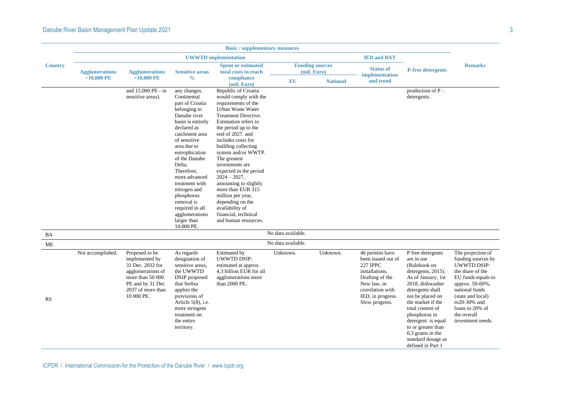|                | <b>Basic / supplementary measures</b> |                                                                                                                                                      |                                                                                                                                                                                                                                                                                                                                                                                 |                                                                                                                                                                                                                                                                                                                                                                                                                                                                                                           |                    |                                       |                                                                                                                                                                         |                                                                                                                                                                                                                                                                                                                                |                                                                                                                                                                                                                                          |  |  |  |
|----------------|---------------------------------------|------------------------------------------------------------------------------------------------------------------------------------------------------|---------------------------------------------------------------------------------------------------------------------------------------------------------------------------------------------------------------------------------------------------------------------------------------------------------------------------------------------------------------------------------|-----------------------------------------------------------------------------------------------------------------------------------------------------------------------------------------------------------------------------------------------------------------------------------------------------------------------------------------------------------------------------------------------------------------------------------------------------------------------------------------------------------|--------------------|---------------------------------------|-------------------------------------------------------------------------------------------------------------------------------------------------------------------------|--------------------------------------------------------------------------------------------------------------------------------------------------------------------------------------------------------------------------------------------------------------------------------------------------------------------------------|------------------------------------------------------------------------------------------------------------------------------------------------------------------------------------------------------------------------------------------|--|--|--|
|                |                                       |                                                                                                                                                      |                                                                                                                                                                                                                                                                                                                                                                                 | <b>UWWTD</b> implementation                                                                                                                                                                                                                                                                                                                                                                                                                                                                               |                    |                                       | <b>IED and BAT</b>                                                                                                                                                      |                                                                                                                                                                                                                                                                                                                                |                                                                                                                                                                                                                                          |  |  |  |
| <b>Country</b> | <b>Agglomerations</b>                 | <b>Agglomerations</b>                                                                                                                                | <b>Sensitive areas</b>                                                                                                                                                                                                                                                                                                                                                          | <b>Spent or estimated</b><br>total costs to reach                                                                                                                                                                                                                                                                                                                                                                                                                                                         |                    | <b>Funding sources</b><br>(mil. Euro) | <b>Status of</b><br>implementation                                                                                                                                      | <b>P-free detergents</b>                                                                                                                                                                                                                                                                                                       | <b>Remarks</b>                                                                                                                                                                                                                           |  |  |  |
|                | $<$ 10,000 PE                         | $>10,000$ PE                                                                                                                                         | $\frac{6}{6}$                                                                                                                                                                                                                                                                                                                                                                   | compliance<br>(mil. Euro)                                                                                                                                                                                                                                                                                                                                                                                                                                                                                 | EU                 | <b>National</b>                       | and trend                                                                                                                                                               |                                                                                                                                                                                                                                                                                                                                |                                                                                                                                                                                                                                          |  |  |  |
|                |                                       | and 15.000 PE - in<br>sensitive areas).                                                                                                              | any changes.<br>Continental<br>part of Croatia<br>belonging to<br>Danube river<br>basin is entirely<br>declared as<br>catchment area<br>of sensitive<br>area due to<br>eutrophication<br>of the Danube<br>Delta.<br>Therefore,<br>more advanced<br>treatment with<br>nitrogen and<br>phosphorus<br>removal is<br>required in all<br>agglomerations<br>larger than<br>10.000 PE. | Republic of Croatia<br>would comply with the<br>requirements of the<br>Urban Waste Water<br><b>Treatment Directive.</b><br>Estimation refers to<br>the period up to the<br>end of 2027. and<br>includes costs for<br>building collecting<br>system and/or WWTP.<br>The greatest<br>investments are<br>expected in the period<br>$2024 - 2027$ ,<br>amounting to slightly<br>more than EUR 315<br>million per year,<br>depending on the<br>availability of<br>financial, technical<br>and human resources. |                    |                                       |                                                                                                                                                                         | production of $P -$<br>detergents.                                                                                                                                                                                                                                                                                             |                                                                                                                                                                                                                                          |  |  |  |
| BA             |                                       |                                                                                                                                                      |                                                                                                                                                                                                                                                                                                                                                                                 |                                                                                                                                                                                                                                                                                                                                                                                                                                                                                                           | No data available. |                                       |                                                                                                                                                                         |                                                                                                                                                                                                                                                                                                                                |                                                                                                                                                                                                                                          |  |  |  |
| ME             |                                       |                                                                                                                                                      |                                                                                                                                                                                                                                                                                                                                                                                 |                                                                                                                                                                                                                                                                                                                                                                                                                                                                                                           | No data available. |                                       |                                                                                                                                                                         |                                                                                                                                                                                                                                                                                                                                |                                                                                                                                                                                                                                          |  |  |  |
| RS             | Not accomplished.                     | Proposed to be<br>implemented by<br>31 Dec. 2032 for<br>agglomerations of<br>more than 50 000<br>PE and by 31 Dec<br>2037 of more than<br>10 000 PE. | As regards<br>designation of<br>sensitive areas.<br>the UWWTD<br>DSIP proposed<br>that Serbia<br>applies the<br>provisions of<br>Article $5(8)$ , i.e.<br>more stringent<br>treatment on<br>the entire<br>territory.                                                                                                                                                            | <b>Estimated by</b><br><b>UWWTD DSIP:</b><br>estimated at approx.<br>4.3 billion EUR for all<br>agglomerations more<br>than 2000 PE.                                                                                                                                                                                                                                                                                                                                                                      | Unknown.           | Unknown.                              | 46 permits have<br>been issued out of<br><b>227 IPPC</b><br>installations.<br>Drafting of the<br>New law, in<br>correlation with<br>IED, in progress.<br>Slow progress. | P free detergents<br>are in use<br>(Rulebook on<br>detergents, 2015).<br>As of January, 1st<br>2018, dishwasher<br>detergents shall<br>not be placed on<br>the market if the<br>total content of<br>phosphorus in<br>detergent is equal<br>to or greater than<br>$0,3$ grams in the<br>standard dosage as<br>defined in Part 1 | The projection of<br>funding sources by<br><b>UWWTD DSIP:</b><br>the share of the<br>EU funds equals to<br>арргох. 50-60%,<br>national funds<br>(state and local)<br>to20-30% and<br>loans to 20% of<br>the overall<br>investment needs. |  |  |  |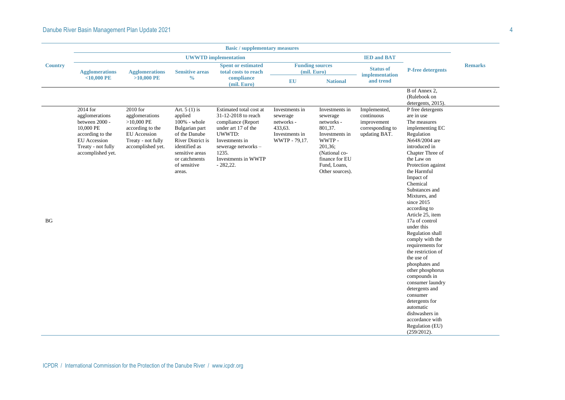### Danube River Basin Management Plan Update 2021 **Annual Accord 2003** 4

|                | <b>Basic / supplementary measures</b>                                                                                                           |                                                                                                                           |                                                                                                                                                                                         |                                                                                                                                                                                             |                                                                                        |                                                                                                                                                                 |                                                                                |                                                                                                                                                                                                                                                                                                                                                                                                                                                                                                                                                                                                                                                                    |                |  |  |
|----------------|-------------------------------------------------------------------------------------------------------------------------------------------------|---------------------------------------------------------------------------------------------------------------------------|-----------------------------------------------------------------------------------------------------------------------------------------------------------------------------------------|---------------------------------------------------------------------------------------------------------------------------------------------------------------------------------------------|----------------------------------------------------------------------------------------|-----------------------------------------------------------------------------------------------------------------------------------------------------------------|--------------------------------------------------------------------------------|--------------------------------------------------------------------------------------------------------------------------------------------------------------------------------------------------------------------------------------------------------------------------------------------------------------------------------------------------------------------------------------------------------------------------------------------------------------------------------------------------------------------------------------------------------------------------------------------------------------------------------------------------------------------|----------------|--|--|
|                |                                                                                                                                                 |                                                                                                                           |                                                                                                                                                                                         | <b>UWWTD</b> implementation                                                                                                                                                                 |                                                                                        |                                                                                                                                                                 | <b>IED and BAT</b>                                                             |                                                                                                                                                                                                                                                                                                                                                                                                                                                                                                                                                                                                                                                                    |                |  |  |
| <b>Country</b> | <b>Agglomerations</b>                                                                                                                           | <b>Agglomerations</b>                                                                                                     | <b>Sensitive areas</b>                                                                                                                                                                  | <b>Spent or estimated</b><br>total costs to reach                                                                                                                                           |                                                                                        | <b>Funding sources</b><br>(mil. Euro)                                                                                                                           | <b>Status of</b><br>implementation                                             | <b>P-free detergents</b>                                                                                                                                                                                                                                                                                                                                                                                                                                                                                                                                                                                                                                           | <b>Remarks</b> |  |  |
|                | $<$ 10,000 PE                                                                                                                                   | $>10,000$ PE                                                                                                              | $\frac{0}{0}$                                                                                                                                                                           | compliance<br>(mil. Euro)                                                                                                                                                                   | <b>EU</b>                                                                              | <b>National</b>                                                                                                                                                 | and trend                                                                      |                                                                                                                                                                                                                                                                                                                                                                                                                                                                                                                                                                                                                                                                    |                |  |  |
|                |                                                                                                                                                 |                                                                                                                           |                                                                                                                                                                                         |                                                                                                                                                                                             |                                                                                        |                                                                                                                                                                 |                                                                                | B of Annex 2,<br>(Rulebook on<br>detergents, 2015).                                                                                                                                                                                                                                                                                                                                                                                                                                                                                                                                                                                                                |                |  |  |
| <b>BG</b>      | 2014 for<br>agglomerations<br>between 2000 -<br>10,000 PE<br>according to the<br><b>EU</b> Accession<br>Treaty - not fully<br>accomplished yet. | 2010 for<br>agglomerations<br>$>10,000$ PE<br>according to the<br>EU Accession<br>Treaty - not fully<br>accomplished yet. | Art. $5(1)$ is<br>applied<br>100% - whole<br>Bulgarian part<br>of the Danube<br><b>River District is</b><br>identified as<br>sensitive areas<br>or catchments<br>of sensitive<br>areas. | Estimated total cost at<br>31-12-2018 to reach<br>compliance (Report<br>under art 17 of the<br>UWWTD:<br>Investments in<br>sewerage networks-<br>1235.<br>Investments in WWTP<br>$-282,22.$ | Investments in<br>sewerage<br>networks -<br>433,63.<br>Investments in<br>WWTP - 79,17. | Investments in<br>sewerage<br>networks -<br>801,37.<br>Investments in<br>WWTP-<br>201,36;<br>(National co-<br>finance for EU<br>Fund, Loans,<br>Other sources). | Implemented,<br>continuous<br>improvement<br>corresponding to<br>updating BAT. | P free detergents<br>are in use<br>The measures<br>implementing EC<br>Regulation<br>N <sup>o</sup> 648/2004 are<br>introduced in<br>Chapter Three of<br>the Law on<br>Protection against<br>the Harmful<br>Impact of<br>Chemical<br>Substances and<br>Mixtures, and<br>since 2015<br>according to<br>Article 25, item<br>17a of control<br>under this<br>Regulation shall<br>comply with the<br>requirements for<br>the restriction of<br>the use of<br>phosphates and<br>other phosphorus<br>compounds in<br>consumer laundry<br>detergents and<br>consumer<br>detergents for<br>automatic<br>dishwashers in<br>accordance with<br>Regulation (EU)<br>(259/2012). |                |  |  |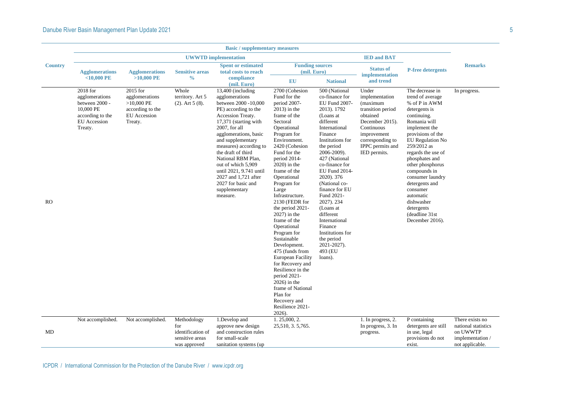|                | <b>Basic</b> / supplementary measures                                                                           |                                                                                                  |                                                                            |                                                                                                                                                                                                                                                                                                                                                                                                    |                                                                                                                                                                                                                                                                                                                                                                                                                                                                                                                                                                                                                                               |                                                                                                                                                                                                                                                                                                                                                                                                                                      |                                                                                                                                                                              |                                                                                                                                                                                                                                                                                                                                                                                            |                                                                                           |  |  |
|----------------|-----------------------------------------------------------------------------------------------------------------|--------------------------------------------------------------------------------------------------|----------------------------------------------------------------------------|----------------------------------------------------------------------------------------------------------------------------------------------------------------------------------------------------------------------------------------------------------------------------------------------------------------------------------------------------------------------------------------------------|-----------------------------------------------------------------------------------------------------------------------------------------------------------------------------------------------------------------------------------------------------------------------------------------------------------------------------------------------------------------------------------------------------------------------------------------------------------------------------------------------------------------------------------------------------------------------------------------------------------------------------------------------|--------------------------------------------------------------------------------------------------------------------------------------------------------------------------------------------------------------------------------------------------------------------------------------------------------------------------------------------------------------------------------------------------------------------------------------|------------------------------------------------------------------------------------------------------------------------------------------------------------------------------|--------------------------------------------------------------------------------------------------------------------------------------------------------------------------------------------------------------------------------------------------------------------------------------------------------------------------------------------------------------------------------------------|-------------------------------------------------------------------------------------------|--|--|
|                |                                                                                                                 |                                                                                                  |                                                                            | <b>UWWTD</b> implementation                                                                                                                                                                                                                                                                                                                                                                        |                                                                                                                                                                                                                                                                                                                                                                                                                                                                                                                                                                                                                                               |                                                                                                                                                                                                                                                                                                                                                                                                                                      | <b>IED and BAT</b>                                                                                                                                                           |                                                                                                                                                                                                                                                                                                                                                                                            |                                                                                           |  |  |
| <b>Country</b> | <b>Agglomerations</b>                                                                                           | <b>Agglomerations</b>                                                                            | <b>Sensitive areas</b>                                                     | <b>Spent or estimated</b><br>total costs to reach                                                                                                                                                                                                                                                                                                                                                  | <b>Funding sources</b><br>(mil. Euro)                                                                                                                                                                                                                                                                                                                                                                                                                                                                                                                                                                                                         |                                                                                                                                                                                                                                                                                                                                                                                                                                      | <b>Status of</b><br>implementation                                                                                                                                           | <b>P-free detergents</b>                                                                                                                                                                                                                                                                                                                                                                   | <b>Remarks</b>                                                                            |  |  |
|                | $<$ 10,000 PE                                                                                                   | $>10,000$ PE                                                                                     | $\frac{0}{0}$                                                              | compliance<br>(mil. Euro)                                                                                                                                                                                                                                                                                                                                                                          | <b>EU</b>                                                                                                                                                                                                                                                                                                                                                                                                                                                                                                                                                                                                                                     | <b>National</b>                                                                                                                                                                                                                                                                                                                                                                                                                      | and trend                                                                                                                                                                    |                                                                                                                                                                                                                                                                                                                                                                                            |                                                                                           |  |  |
| <b>RO</b>      | 2018 for<br>agglomerations<br>between 2000 -<br>10,000 PE<br>according to the<br><b>EU</b> Accession<br>Treaty. | 2015 for<br>agglomerations<br>$>10,000$ PE<br>according to the<br><b>EU</b> Accession<br>Treaty. | Whole<br>territory. Art 5<br>$(2)$ . Art 5 $(8)$ .                         | 13,400 (including<br>agglomerations<br>between 2000 -10,000<br>PE) according to the<br>Accession Treaty.<br>17,371 (starting with<br>2007, for all<br>agglomerations, basic<br>and supplementary<br>measures) according to<br>the draft of third<br>National RBM Plan,<br>out of which 5,909<br>until 2021, 9.741 until<br>2027 and 1,721 after<br>2027 for basic and<br>supplementary<br>measure. | 2700 (Cohesion<br>Fund for the<br>period 2007-<br>$2013$ ) in the<br>frame of the<br>Sectoral<br>Operational<br>Program for<br>Environment.<br>2420 (Cohesion<br>Fund for the<br>period 2014-<br>$2020$ ) in the<br>frame of the<br>Operational<br>Program for<br>Large<br>Infrastructure.<br>2130 (FEDR for<br>the period 2021-<br>$2027$ ) in the<br>frame of the<br>Operational<br>Program for<br>Sustainable<br>Development.<br>475 (funds from<br><b>European Facility</b><br>for Recovery and<br>Resilience in the<br>period 2021-<br>$2026$ ) in the<br>frame of National<br>Plan for<br>Recovery and<br>Resilience 2021-<br>$2026$ ). | 500 (National<br>co-finance for<br>EU Fund 2007-<br>2013). 1792<br>(Loans at<br>different<br>International<br>Finance<br>Institutions for<br>the period<br>2006-2009).<br>427 (National<br>co-finance for<br>EU Fund 2014-<br>2020). 376<br>(National co-<br>finance for EU<br>Fund 2021-<br>2027). 234<br>(Loans at<br>different<br>International<br>Finance<br>Institutions for<br>the period<br>2021-2027).<br>493 (EU<br>loans). | Under<br>implementation<br>(maximum<br>transition period<br>obtained<br>December 2015).<br>Continuous<br>improvement<br>corresponding to<br>IPPC permits and<br>IED permits. | The decrease in<br>trend of average<br>% of P in AWM<br>detergents is<br>continuing.<br>Romania will<br>implement the<br>provisions of the<br>EU Regulation No<br>259/2012 as<br>regards the use of<br>phosphates and<br>other phosphorus<br>compounds in<br>consumer laundry<br>detergents and<br>consumer<br>automatic<br>dishwasher<br>detergents<br>(deadline 31st)<br>December 2016). | In progress.                                                                              |  |  |
| MD             | Not accomplished.                                                                                               | Not accomplished.                                                                                | Methodology<br>for<br>identification of<br>sensitive areas<br>was approved | 1.Develop and<br>approve new design<br>and construction rules<br>for small-scale<br>sanitation systems (up)                                                                                                                                                                                                                                                                                        | 1.25,000, 2.<br>25,510, 3.5,765.                                                                                                                                                                                                                                                                                                                                                                                                                                                                                                                                                                                                              |                                                                                                                                                                                                                                                                                                                                                                                                                                      | 1. In progress, 2.<br>In progress, 3. In<br>progress.                                                                                                                        | P containing<br>detergents are still<br>in use, legal<br>provisions do not<br>exist.                                                                                                                                                                                                                                                                                                       | There exists no<br>national statistics<br>on UWWTP<br>implementation /<br>not applicable. |  |  |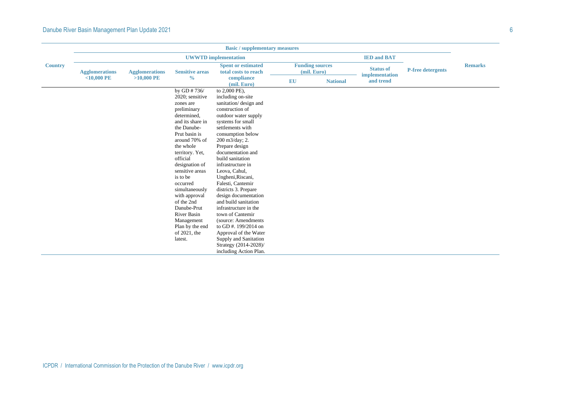|                | <b>Basic / supplementary measures</b> |                       |                                                                                                                                                                                                                                                                                                                                                                                                           |                                                                                                                                                                                                                                                                                                                                                                                                                                                                                                                                                                                                             |           |                                       |                                    |                          |                |  |
|----------------|---------------------------------------|-----------------------|-----------------------------------------------------------------------------------------------------------------------------------------------------------------------------------------------------------------------------------------------------------------------------------------------------------------------------------------------------------------------------------------------------------|-------------------------------------------------------------------------------------------------------------------------------------------------------------------------------------------------------------------------------------------------------------------------------------------------------------------------------------------------------------------------------------------------------------------------------------------------------------------------------------------------------------------------------------------------------------------------------------------------------------|-----------|---------------------------------------|------------------------------------|--------------------------|----------------|--|
|                |                                       |                       |                                                                                                                                                                                                                                                                                                                                                                                                           | <b>UWWTD</b> implementation                                                                                                                                                                                                                                                                                                                                                                                                                                                                                                                                                                                 |           |                                       | <b>IED and BAT</b>                 |                          |                |  |
| <b>Country</b> | <b>Agglomerations</b>                 | <b>Agglomerations</b> | <b>Sensitive areas</b>                                                                                                                                                                                                                                                                                                                                                                                    | <b>Spent or estimated</b><br>total costs to reach                                                                                                                                                                                                                                                                                                                                                                                                                                                                                                                                                           |           | <b>Funding sources</b><br>(mil. Euro) | <b>Status of</b><br>implementation | <b>P-free detergents</b> | <b>Remarks</b> |  |
|                | $<$ 10,000 PE                         | $>10,000$ PE          | $\frac{0}{0}$                                                                                                                                                                                                                                                                                                                                                                                             | compliance<br>(mil. Euro)                                                                                                                                                                                                                                                                                                                                                                                                                                                                                                                                                                                   | <b>EU</b> | <b>National</b>                       | and trend                          |                          |                |  |
|                |                                       |                       | by GD #736/<br>2020; sensitive<br>zones are<br>preliminary<br>determined,<br>and its share in<br>the Danube-<br>Prut basin is<br>around 70% of<br>the whole<br>territory. Yet,<br>official<br>designation of<br>sensitive areas<br>is to be<br>occurred<br>simultaneously<br>with approval<br>of the 2nd<br>Danube-Prut<br><b>River Basin</b><br>Management<br>Plan by the end<br>of 2021, the<br>latest. | to 2,000 PE),<br>including on-site<br>sanitation/ design and<br>construction of<br>outdoor water supply<br>systems for small<br>settlements with<br>consumption below<br>200 m3/day; 2.<br>Prepare design<br>documentation and<br>build sanitation<br>infrastructure in<br>Leova, Cahul,<br>Ungheni, Riscani,<br>Falesti, Cantemir<br>districts 3. Prepare<br>design documentation<br>and build sanitation<br>infrastructure in the<br>town of Cantemir<br>(source: Amendments<br>to GD #. 199/2014 on<br>Approval of the Water<br>Supply and Sanitation<br>Strategy (2014-2028)/<br>including Action Plan. |           |                                       |                                    |                          |                |  |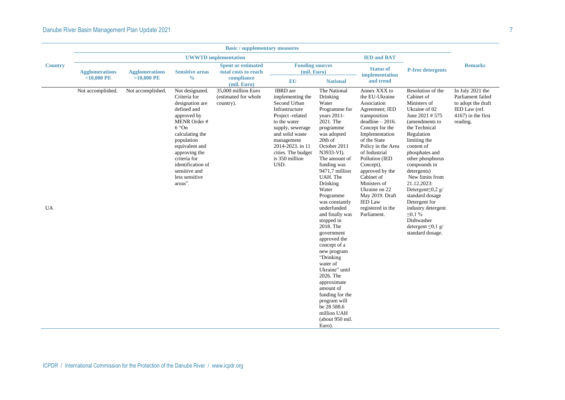|                | <b>Basic / supplementary measures</b>  |                                       |                                                                                                                                                                                                                                                                    |                                                                         |                                                                                                                                                                                                                                    |                                                                                                                                                                                                                                                                                                                                                                                                                                                                                                                                                                                   |                                                                                                                                                                                                                                                                                                                                                                              |                                                                                                                                                                                                                                                                                                                                                                                                                                               |                                                                                                                   |  |  |  |
|----------------|----------------------------------------|---------------------------------------|--------------------------------------------------------------------------------------------------------------------------------------------------------------------------------------------------------------------------------------------------------------------|-------------------------------------------------------------------------|------------------------------------------------------------------------------------------------------------------------------------------------------------------------------------------------------------------------------------|-----------------------------------------------------------------------------------------------------------------------------------------------------------------------------------------------------------------------------------------------------------------------------------------------------------------------------------------------------------------------------------------------------------------------------------------------------------------------------------------------------------------------------------------------------------------------------------|------------------------------------------------------------------------------------------------------------------------------------------------------------------------------------------------------------------------------------------------------------------------------------------------------------------------------------------------------------------------------|-----------------------------------------------------------------------------------------------------------------------------------------------------------------------------------------------------------------------------------------------------------------------------------------------------------------------------------------------------------------------------------------------------------------------------------------------|-------------------------------------------------------------------------------------------------------------------|--|--|--|
|                |                                        |                                       |                                                                                                                                                                                                                                                                    | <b>UWWTD</b> implementation                                             |                                                                                                                                                                                                                                    |                                                                                                                                                                                                                                                                                                                                                                                                                                                                                                                                                                                   | <b>IED and BAT</b>                                                                                                                                                                                                                                                                                                                                                           |                                                                                                                                                                                                                                                                                                                                                                                                                                               |                                                                                                                   |  |  |  |
| <b>Country</b> | <b>Agglomerations</b><br>$<$ 10,000 PE | <b>Agglomerations</b><br>$>10,000$ PE | <b>Sensitive areas</b><br>$\frac{0}{0}$                                                                                                                                                                                                                            | <b>Spent or estimated</b><br>total costs to reach<br>compliance         | <b>Funding sources</b><br>(mil. Euro)<br><b>EU</b>                                                                                                                                                                                 | <b>National</b>                                                                                                                                                                                                                                                                                                                                                                                                                                                                                                                                                                   | <b>Status of</b><br>implementation<br>and trend                                                                                                                                                                                                                                                                                                                              | <b>P-free detergents</b>                                                                                                                                                                                                                                                                                                                                                                                                                      | <b>Remarks</b>                                                                                                    |  |  |  |
| UA             | Not accomplished.                      | Not accomplished.                     | Not designated.<br>Criteria for<br>designation are<br>defined and<br>approved by<br>MENR Order #<br>$6$ "On<br>calculating the<br>population<br>equivalent and<br>approving the<br>criteria for<br>identification of<br>sensitive and<br>less sensitive<br>areas". | (mil. Euro)<br>35,000 million Euro<br>(estimated for whole<br>country). | <b>IBRD</b> are<br>implementing the<br>Second Urban<br>Infrastructure<br>Project -related<br>to the water<br>supply, sewerage<br>and solid waste<br>management<br>2014-2023. in 11<br>cities. The budget<br>is 350 million<br>USD. | The National<br>Drinking<br>Water<br>Programme for<br>years 2011-<br>2021. The<br>programme<br>was adopted<br>20th of<br>October 2011<br>N3933-VI).<br>The amount of<br>funding was<br>9471,7 million<br>UAH. The<br>Drinking<br>Water<br>Programme<br>was constantly<br>underfunded<br>and finally was<br>stopped in<br>2018. The<br>government<br>approved the<br>concept of a<br>new program<br>"Drinking<br>water of<br>Ukraine" until<br>2026. The<br>approximate<br>amount of<br>funding for the<br>program will<br>be 28 588.6<br>million UAH<br>(about 950 mil.<br>Euro). | Annex XXX to<br>the EU-Ukraine<br>Association<br>Agreement; IED<br>transposition<br>$deadline - 2016.$<br>Concept for the<br>Implementation<br>of the State<br>Policy in the Area<br>of Industrial<br>Pollution (IED<br>Concept),<br>approved by the<br>Cabinet of<br>Ministers of<br>Ukraine on 22<br>May 2019. Draft<br><b>IED Law</b><br>registered in the<br>Parliament. | Resolution of the<br>Cabinet of<br>Ministers of<br>Ukraine of 02<br>June 2021 # 575<br>(amendments to<br>the Technical<br>Regulation<br>limiting the<br>content of<br>phosphates and<br>other phosphorus<br>compounds in<br>detergents)<br>New limits from<br>21.12.2023:<br>Detergent $\leq 0.2$ g/<br>standard dosage<br>Detergent for<br>industry detergent<br>$\leq 0.1 \%$<br>Dishwasher<br>detergent $\leq 0, 1, g$<br>standard dosage. | In July 2021 the<br>Parliament failed<br>to adopt the draft<br>IED Law (ref.<br>$4167$ ) in the first<br>reading. |  |  |  |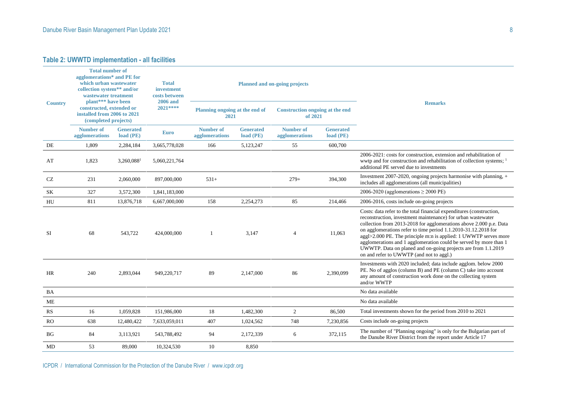|                | <b>Total number of</b><br>agglomerations* and PE for<br>which urban wastewater<br>collection system** and/or<br>wastewater treatment<br>plant*** have been |                               | <b>Total</b><br>investment<br>costs between<br><b>2006</b> and |                                        |                               | <b>Planned and on-going projects</b>              |                               |                                                                                                                                                                                                                                                                                                                                                                                                                                                                                                                                    |  |  |
|----------------|------------------------------------------------------------------------------------------------------------------------------------------------------------|-------------------------------|----------------------------------------------------------------|----------------------------------------|-------------------------------|---------------------------------------------------|-------------------------------|------------------------------------------------------------------------------------------------------------------------------------------------------------------------------------------------------------------------------------------------------------------------------------------------------------------------------------------------------------------------------------------------------------------------------------------------------------------------------------------------------------------------------------|--|--|
| <b>Country</b> | constructed, extended or<br>installed from 2006 to 2021<br>(completed projects)                                                                            |                               | 2021 ****                                                      | Planning ongoing at the end of<br>2021 |                               | <b>Construction ongoing at the end</b><br>of 2021 |                               | <b>Remarks</b>                                                                                                                                                                                                                                                                                                                                                                                                                                                                                                                     |  |  |
|                | Number of<br>agglomerations                                                                                                                                | <b>Generated</b><br>load (PE) | <b>Euro</b>                                                    | Number of<br>agglomerations            | <b>Generated</b><br>load (PE) | Number of<br>agglomerations                       | <b>Generated</b><br>load (PE) |                                                                                                                                                                                                                                                                                                                                                                                                                                                                                                                                    |  |  |
| DE             | 1.809                                                                                                                                                      | 2,284,184                     | 3,665,778,028                                                  | 166                                    | 5,123,247                     | 55                                                | 600,700                       |                                                                                                                                                                                                                                                                                                                                                                                                                                                                                                                                    |  |  |
| AT             | 1,823                                                                                                                                                      | $3,260,088$ <sup>1</sup>      | 5,060,221,764                                                  |                                        |                               |                                                   |                               | 2006-2021: costs for construction, extension and rehabilitation of<br>wwtp and for construction and rehabilitation of collection systems; <sup>1</sup><br>additional PE served due to investments                                                                                                                                                                                                                                                                                                                                  |  |  |
| CZ             | 231                                                                                                                                                        | 2,060,000                     | 897,000,000                                                    | $531+$                                 |                               | $279+$                                            | 394,300                       | Investment 2007-2020, ongoing projects harmonise with planning, $+$<br>includes all agglomerations (all municipalities)                                                                                                                                                                                                                                                                                                                                                                                                            |  |  |
| SK             | 327                                                                                                                                                        | 3,572,300                     | 1,841,183,000                                                  |                                        |                               |                                                   |                               | 2006-2020 (agglomerations $\geq$ 2000 PE)                                                                                                                                                                                                                                                                                                                                                                                                                                                                                          |  |  |
| HU             | 811                                                                                                                                                        | 13,876,718                    | 6,667,000,000                                                  | 158                                    | 2,254,273                     | 85                                                | 214,466                       | 2006-2016, costs include on-going projects                                                                                                                                                                                                                                                                                                                                                                                                                                                                                         |  |  |
| <b>SI</b>      | 68                                                                                                                                                         | 543,722                       | 424,000,000                                                    |                                        | 3,147                         | $\overline{4}$                                    | 11,063                        | Costs: data refer to the total financial expenditures (construction,<br>reconstruction, investment maintenance) for urban wastewater<br>collection from 2013-2018 for agglomerations above 2.000 p.e. Data<br>on agglomerations refer to time period 1.1.2010-31.12.2018 for<br>aggl>2.000 PE. The principle m:n is applied: 1 UWWTP serves more<br>agglomerations and 1 agglomeration could be served by more than 1<br>UWWTP. Data on planed and on-going projects are from 1.1.2019<br>on and refer to UWWTP (and not to aggl.) |  |  |
| HR             | 240                                                                                                                                                        | 2,893,044                     | 949,220,717                                                    | 89                                     | 2,147,000                     | 86                                                | 2,390,099                     | Investments with 2020 included; data include agglom. below 2000<br>PE. No of agglos (column B) and PE (column C) take into account<br>any amount of construction work done on the collecting system<br>and/or WWTP                                                                                                                                                                                                                                                                                                                 |  |  |
| <b>BA</b>      |                                                                                                                                                            |                               |                                                                |                                        |                               |                                                   |                               | No data available                                                                                                                                                                                                                                                                                                                                                                                                                                                                                                                  |  |  |
| <b>ME</b>      |                                                                                                                                                            |                               |                                                                |                                        |                               |                                                   |                               | No data available                                                                                                                                                                                                                                                                                                                                                                                                                                                                                                                  |  |  |
| RS             | 16                                                                                                                                                         | 1,059,828                     | 151,986,000                                                    | 18                                     | 1,482,300                     | $\overline{2}$                                    | 86,500                        | Total investments shown for the period from 2010 to 2021                                                                                                                                                                                                                                                                                                                                                                                                                                                                           |  |  |
| RO.            | 638                                                                                                                                                        | 12,480,422                    | 7,633,059,011                                                  | 407                                    | 1,024,562                     | 748                                               | 7,230,856                     | Costs include on-going projects                                                                                                                                                                                                                                                                                                                                                                                                                                                                                                    |  |  |
| BG             | 84                                                                                                                                                         | 3,113,921                     | 543,788,492                                                    | 94                                     | 2,172,339                     | 6                                                 | 372,115                       | The number of "Planning ongoing" is only for the Bulgarian part of<br>the Danube River District from the report under Article 17                                                                                                                                                                                                                                                                                                                                                                                                   |  |  |
| MD             | 53                                                                                                                                                         | 89,000                        | 10,324,530                                                     | 10                                     | 8,850                         |                                                   |                               |                                                                                                                                                                                                                                                                                                                                                                                                                                                                                                                                    |  |  |

ICPDR / International Commission for the Protection of the Danube River / www.icpdr.org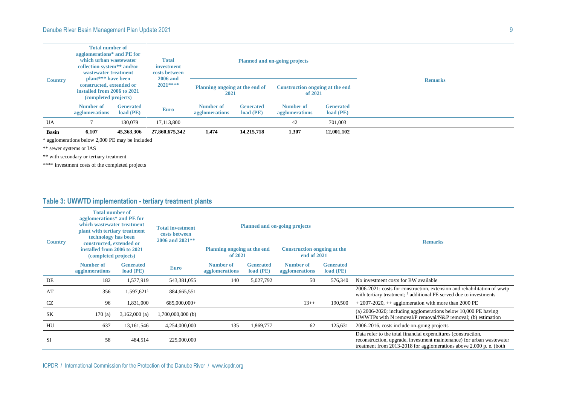#### Danube River Basin Management Plan Update 2021 9

| <b>Country</b> | <b>Total number of</b><br>agglomerations* and PE for<br>which urban wastewater<br>collection system** and/or<br>wastewater treatment<br>plant <sup>***</sup> have been<br>constructed, extended or<br>installed from 2006 to 2021<br>(completed projects) |                                 | <b>Total</b><br>investment<br>costs between<br><b>2006</b> and<br>$2021***$ |                                        |                                     | <b>Planned and on-going projects</b>       |                                     |                |
|----------------|-----------------------------------------------------------------------------------------------------------------------------------------------------------------------------------------------------------------------------------------------------------|---------------------------------|-----------------------------------------------------------------------------|----------------------------------------|-------------------------------------|--------------------------------------------|-------------------------------------|----------------|
|                |                                                                                                                                                                                                                                                           |                                 |                                                                             | Planning ongoing at the end of<br>2021 |                                     | Construction ongoing at the end<br>of 2021 |                                     | <b>Remarks</b> |
|                | Number of<br>agglomerations                                                                                                                                                                                                                               | <b>Generated</b><br>$load$ (PE) | <b>Euro</b>                                                                 | Number of<br>agglomerations            | <b>Generated</b><br>$load$ ( $PE$ ) | Number of<br>agglomerations                | <b>Generated</b><br>$load$ ( $PE$ ) |                |
| UA             |                                                                                                                                                                                                                                                           | 130,079                         | 17.113.800                                                                  |                                        |                                     | 42                                         | 701,003                             |                |
| <b>Basin</b>   | 6,107                                                                                                                                                                                                                                                     | 45,363,306                      | 27,860,675,342                                                              | 1,474                                  | 14,215,718                          | 1,307                                      | 12,001,102                          |                |

\* agglomerations below 2,000 PE may be included

\*\* sewer systems or IAS

\*\* with secondary or tertiary treatment

\*\*\*\* investment costs of the completed projects

### **Table 3: UWWTD implementation - tertiary treatment plants**

| <b>Country</b> | <b>Total number of</b><br>agglomerations* and PE for<br>which wastewater treatment<br>plant with tertiary treatment<br>technology has been<br>constructed, extended or<br>installed from 2006 to 2021<br>(completed projects) |                                     | <b>Total investment</b><br>costs between<br>2006 and 2021** |                                        |                               | <b>Planned and on-going projects</b>              |                               | <b>Remarks</b>                                                                                                                                                                                                 |  |  |
|----------------|-------------------------------------------------------------------------------------------------------------------------------------------------------------------------------------------------------------------------------|-------------------------------------|-------------------------------------------------------------|----------------------------------------|-------------------------------|---------------------------------------------------|-------------------------------|----------------------------------------------------------------------------------------------------------------------------------------------------------------------------------------------------------------|--|--|
|                |                                                                                                                                                                                                                               |                                     |                                                             | Planning ongoing at the end<br>of 2021 |                               | <b>Construction ongoing at the</b><br>end of 2021 |                               |                                                                                                                                                                                                                |  |  |
|                | Number of<br>agglomerations                                                                                                                                                                                                   | <b>Generated</b><br>$load$ ( $PE$ ) | <b>Euro</b>                                                 | <b>Number of</b><br>agglomerations     | <b>Generated</b><br>load (PE) | Number of<br>agglomerations                       | <b>Generated</b><br>load (PE) |                                                                                                                                                                                                                |  |  |
| DE             | 182                                                                                                                                                                                                                           | 1,577,919                           | 543,381,055                                                 | 140                                    | 5,027,792                     | 50                                                | 576,340                       | No investment costs for BW available                                                                                                                                                                           |  |  |
| AT             | 356                                                                                                                                                                                                                           | $1.597.621^1$                       | 884,665,551                                                 |                                        |                               |                                                   |                               | 2006-2021: costs for construction, extension and rehabilitation of wwtp<br>with tertiary treatment; $\frac{1}{1}$ additional PE served due to investments                                                      |  |  |
| CZ             | 96                                                                                                                                                                                                                            | 1,831,000                           | 685,000,000+                                                |                                        |                               | $13++$                                            | 190,500                       | $+2007-2020$ , $++$ agglomeration with more than 2000 PE                                                                                                                                                       |  |  |
| SK             | 170(a)                                                                                                                                                                                                                        | $3,162,000$ (a)                     | $1,700,000,000$ (b)                                         |                                        |                               |                                                   |                               | (a) $2006-2020$ ; including agglomerations below 10,000 PE having<br>UWWTPs with N removal/P removal/N&P removal; (b) estimation                                                                               |  |  |
| HU             | 637                                                                                                                                                                                                                           | 13,161,546                          | 4,254,000,000                                               | 135                                    | 1,869,777                     | 62                                                | 125,631                       | 2006-2016, costs include on-going projects                                                                                                                                                                     |  |  |
| SI             | 58                                                                                                                                                                                                                            | 484,514                             | 225,000,000                                                 |                                        |                               |                                                   |                               | Data refer to the total financial expenditures (construction,<br>reconstruction, upgrade, investment maintenance) for urban was tewater<br>treatment from 2013-2018 for agglomerations above 2.000 p. e. (both |  |  |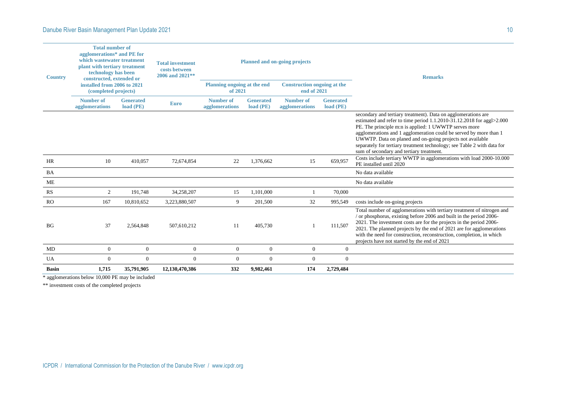| <b>Country</b> | <b>Total number of</b><br>agglomerations* and PE for<br>which wastewater treatment<br>plant with tertiary treatment<br>technology has been<br>constructed, extended or |                               | <b>Total investment</b><br>costs between<br>2006 and 2021** |                                        |                               | <b>Planned and on-going projects</b>              |                                 | <b>Remarks</b>                                                                                                                                                                                                                                                                                                                                                                                                                                           |  |  |
|----------------|------------------------------------------------------------------------------------------------------------------------------------------------------------------------|-------------------------------|-------------------------------------------------------------|----------------------------------------|-------------------------------|---------------------------------------------------|---------------------------------|----------------------------------------------------------------------------------------------------------------------------------------------------------------------------------------------------------------------------------------------------------------------------------------------------------------------------------------------------------------------------------------------------------------------------------------------------------|--|--|
|                | installed from 2006 to 2021<br>(completed projects)                                                                                                                    |                               |                                                             | Planning ongoing at the end<br>of 2021 |                               | <b>Construction ongoing at the</b><br>end of 2021 |                                 |                                                                                                                                                                                                                                                                                                                                                                                                                                                          |  |  |
|                | Number of<br>agglomerations                                                                                                                                            | <b>Generated</b><br>load (PE) | <b>Euro</b>                                                 | Number of<br>agglomerations            | <b>Generated</b><br>load (PE) | Number of<br>agglomerations                       | <b>Generated</b><br>$load$ (PE) |                                                                                                                                                                                                                                                                                                                                                                                                                                                          |  |  |
|                |                                                                                                                                                                        |                               |                                                             |                                        |                               |                                                   |                                 | secondary and tertiary treatment). Data on agglomerations are<br>estimated and refer to time period 1.1.2010-31.12.2018 for aggl>2.000<br>PE. The principle m:n is applied: 1 UWWTP serves more<br>agglomerations and 1 agglomeration could be served by more than 1<br>UWWTP. Data on planed and on-going projects not available<br>separately for tertiary treatment technology; see Table 2 with data for<br>sum of secondary and tertiary treatment. |  |  |
| HR             | 10                                                                                                                                                                     | 410,057                       | 72,674,854                                                  | 22                                     | 1,376,662                     | 15                                                | 659,957                         | Costs include tertiary WWTP in agglomerations with load 2000-10.000<br>PE installed until 2020                                                                                                                                                                                                                                                                                                                                                           |  |  |
| BA             |                                                                                                                                                                        |                               |                                                             |                                        |                               |                                                   |                                 | No data available                                                                                                                                                                                                                                                                                                                                                                                                                                        |  |  |
| <b>ME</b>      |                                                                                                                                                                        |                               |                                                             |                                        |                               |                                                   |                                 | No data available                                                                                                                                                                                                                                                                                                                                                                                                                                        |  |  |
| RS             | 2                                                                                                                                                                      | 191,748                       | 34,258,207                                                  | 15                                     | 1,101,000                     |                                                   | 70,000                          |                                                                                                                                                                                                                                                                                                                                                                                                                                                          |  |  |
| <b>RO</b>      | 167                                                                                                                                                                    | 10,810,652                    | 3,223,880,507                                               | 9                                      | 201,500                       | 32                                                | 995,549                         | costs include on-going projects                                                                                                                                                                                                                                                                                                                                                                                                                          |  |  |
| <b>BG</b>      | 37                                                                                                                                                                     | 2,564,848                     | 507,610,212                                                 | 11                                     | 405,730                       |                                                   | 111,507                         | Total number of agglomerations with tertiary treatment of nitrogen and<br>/ or phosphorus, existing before 2006 and built in the period 2006-<br>2021. The investment costs are for the projects in the period 2006-<br>2021. The planned projects by the end of 2021 are for agglomerations<br>with the need for construction, reconstruction, completion, in which<br>projects have not started by the end of 2021                                     |  |  |
| MD             | $\theta$                                                                                                                                                               | $\theta$                      | $\mathbf{0}$                                                | $\overline{0}$                         | $\boldsymbol{0}$              | $\overline{0}$                                    | $\mathbf{0}$                    |                                                                                                                                                                                                                                                                                                                                                                                                                                                          |  |  |
| <b>UA</b>      | $\Omega$                                                                                                                                                               | $\mathbf{0}$                  | $\Omega$                                                    | $\Omega$                               | $\overline{0}$                | $\Omega$                                          | $\mathbf{0}$                    |                                                                                                                                                                                                                                                                                                                                                                                                                                                          |  |  |
| <b>Basin</b>   | 1,715                                                                                                                                                                  | 35,791,905                    | 12,130,470,386                                              | 332                                    | 9.982.461                     | 174                                               | 2,729,484                       |                                                                                                                                                                                                                                                                                                                                                                                                                                                          |  |  |

\* agglomerations below 10,000 PE may be included

\*\* investment costs of the completed projects